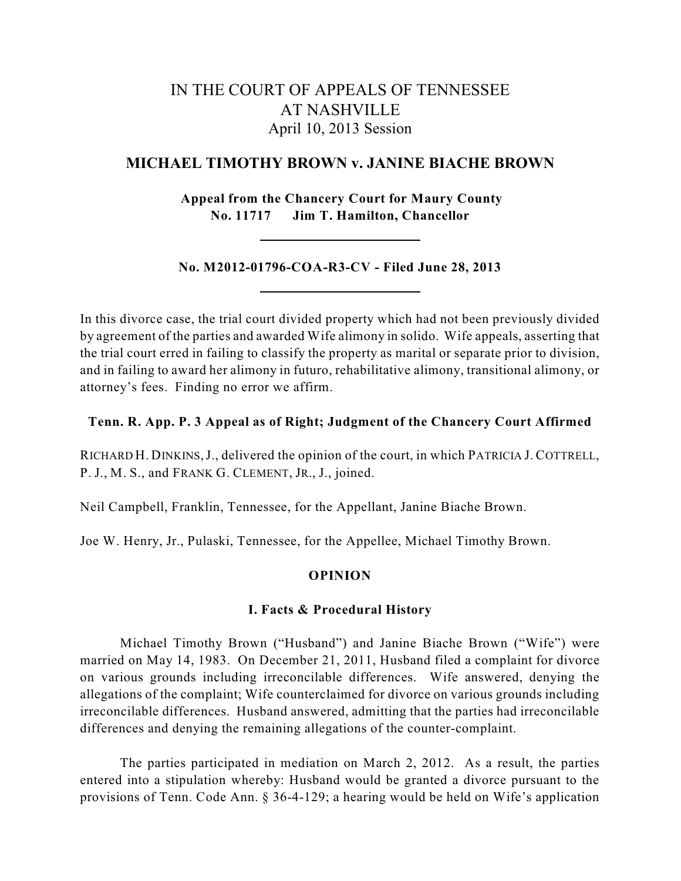# IN THE COURT OF APPEALS OF TENNESSEE AT NASHVILLE April 10, 2013 Session

# **MICHAEL TIMOTHY BROWN v. JANINE BIACHE BROWN**

**Appeal from the Chancery Court for Maury County No. 11717 Jim T. Hamilton, Chancellor**

**No. M2012-01796-COA-R3-CV - Filed June 28, 2013**

In this divorce case, the trial court divided property which had not been previously divided by agreement of the parties and awarded Wife alimony in solido. Wife appeals, asserting that the trial court erred in failing to classify the property as marital or separate prior to division, and in failing to award her alimony in futuro, rehabilitative alimony, transitional alimony, or attorney's fees. Finding no error we affirm.

# **Tenn. R. App. P. 3 Appeal as of Right; Judgment of the Chancery Court Affirmed**

RICHARD H. DINKINS,J., delivered the opinion of the court, in which PATRICIA J. COTTRELL, P. J., M. S., and FRANK G. CLEMENT, JR., J., joined.

Neil Campbell, Franklin, Tennessee, for the Appellant, Janine Biache Brown.

Joe W. Henry, Jr., Pulaski, Tennessee, for the Appellee, Michael Timothy Brown.

# **OPINION**

## **I. Facts & Procedural History**

Michael Timothy Brown ("Husband") and Janine Biache Brown ("Wife") were married on May 14, 1983. On December 21, 2011, Husband filed a complaint for divorce on various grounds including irreconcilable differences. Wife answered, denying the allegations of the complaint; Wife counterclaimed for divorce on various grounds including irreconcilable differences. Husband answered, admitting that the parties had irreconcilable differences and denying the remaining allegations of the counter-complaint.

The parties participated in mediation on March 2, 2012. As a result, the parties entered into a stipulation whereby: Husband would be granted a divorce pursuant to the provisions of Tenn. Code Ann. § 36-4-129; a hearing would be held on Wife's application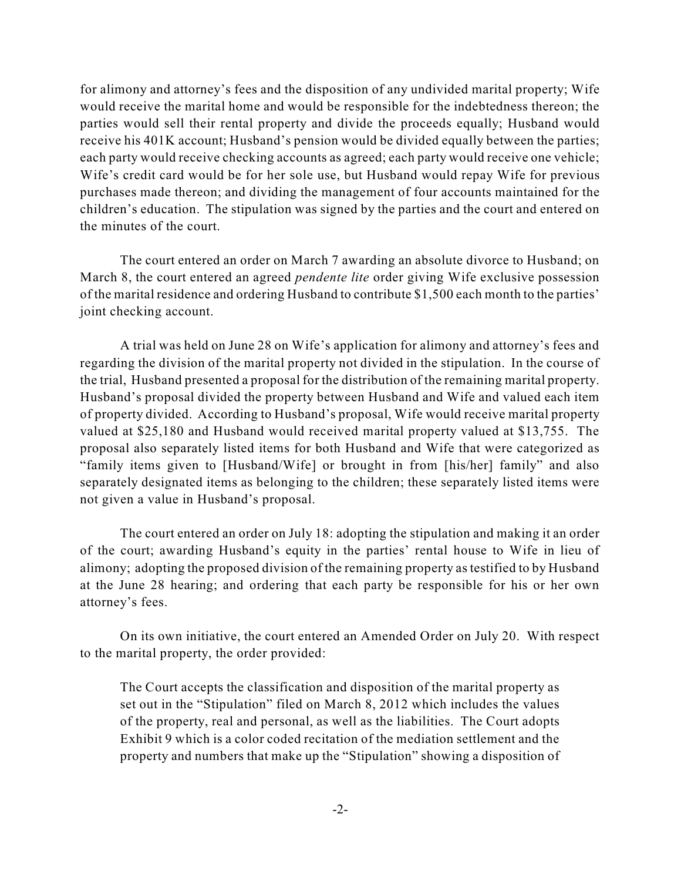for alimony and attorney's fees and the disposition of any undivided marital property; Wife would receive the marital home and would be responsible for the indebtedness thereon; the parties would sell their rental property and divide the proceeds equally; Husband would receive his 401K account; Husband's pension would be divided equally between the parties; each party would receive checking accounts as agreed; each party would receive one vehicle; Wife's credit card would be for her sole use, but Husband would repay Wife for previous purchases made thereon; and dividing the management of four accounts maintained for the children's education. The stipulation was signed by the parties and the court and entered on the minutes of the court.

The court entered an order on March 7 awarding an absolute divorce to Husband; on March 8, the court entered an agreed *pendente lite* order giving Wife exclusive possession of the marital residence and ordering Husband to contribute \$1,500 each month to the parties' joint checking account.

A trial was held on June 28 on Wife's application for alimony and attorney's fees and regarding the division of the marital property not divided in the stipulation. In the course of the trial, Husband presented a proposal for the distribution of the remaining marital property. Husband's proposal divided the property between Husband and Wife and valued each item of property divided. According to Husband's proposal, Wife would receive marital property valued at \$25,180 and Husband would received marital property valued at \$13,755. The proposal also separately listed items for both Husband and Wife that were categorized as "family items given to [Husband/Wife] or brought in from [his/her] family" and also separately designated items as belonging to the children; these separately listed items were not given a value in Husband's proposal.

The court entered an order on July 18: adopting the stipulation and making it an order of the court; awarding Husband's equity in the parties' rental house to Wife in lieu of alimony; adopting the proposed division of the remaining property as testified to by Husband at the June 28 hearing; and ordering that each party be responsible for his or her own attorney's fees.

On its own initiative, the court entered an Amended Order on July 20. With respect to the marital property, the order provided:

The Court accepts the classification and disposition of the marital property as set out in the "Stipulation" filed on March 8, 2012 which includes the values of the property, real and personal, as well as the liabilities. The Court adopts Exhibit 9 which is a color coded recitation of the mediation settlement and the property and numbers that make up the "Stipulation" showing a disposition of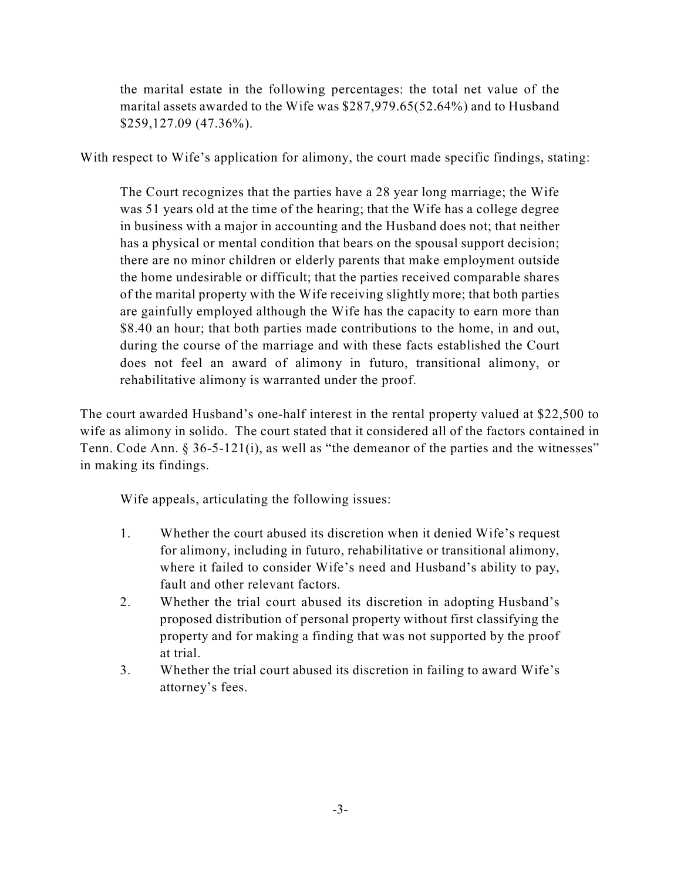the marital estate in the following percentages: the total net value of the marital assets awarded to the Wife was \$287,979.65(52.64%) and to Husband \$259,127.09 (47.36%).

With respect to Wife's application for alimony, the court made specific findings, stating:

The Court recognizes that the parties have a 28 year long marriage; the Wife was 51 years old at the time of the hearing; that the Wife has a college degree in business with a major in accounting and the Husband does not; that neither has a physical or mental condition that bears on the spousal support decision; there are no minor children or elderly parents that make employment outside the home undesirable or difficult; that the parties received comparable shares of the marital property with the Wife receiving slightly more; that both parties are gainfully employed although the Wife has the capacity to earn more than \$8.40 an hour; that both parties made contributions to the home, in and out, during the course of the marriage and with these facts established the Court does not feel an award of alimony in futuro, transitional alimony, or rehabilitative alimony is warranted under the proof.

The court awarded Husband's one-half interest in the rental property valued at \$22,500 to wife as alimony in solido. The court stated that it considered all of the factors contained in Tenn. Code Ann. § 36-5-121(i), as well as "the demeanor of the parties and the witnesses" in making its findings.

Wife appeals, articulating the following issues:

- 1. Whether the court abused its discretion when it denied Wife's request for alimony, including in futuro, rehabilitative or transitional alimony, where it failed to consider Wife's need and Husband's ability to pay, fault and other relevant factors.
- 2. Whether the trial court abused its discretion in adopting Husband's proposed distribution of personal property without first classifying the property and for making a finding that was not supported by the proof at trial.
- 3. Whether the trial court abused its discretion in failing to award Wife's attorney's fees.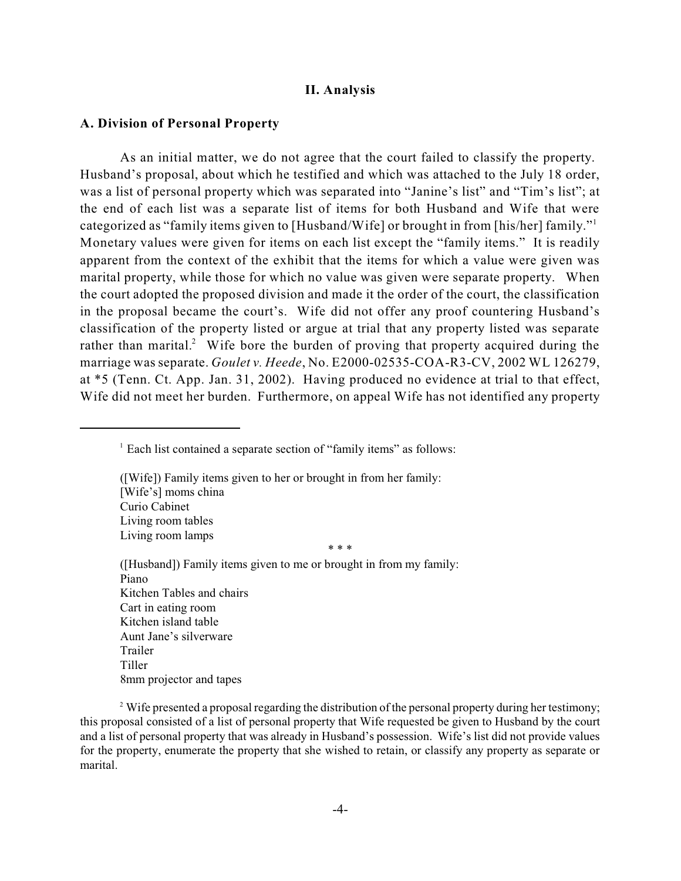#### **II. Analysis**

## **A. Division of Personal Property**

As an initial matter, we do not agree that the court failed to classify the property. Husband's proposal, about which he testified and which was attached to the July 18 order, was a list of personal property which was separated into "Janine's list" and "Tim's list"; at the end of each list was a separate list of items for both Husband and Wife that were categorized as "family items given to [Husband/Wife] or brought in from [his/her] family." 1 Monetary values were given for items on each list except the "family items." It is readily apparent from the context of the exhibit that the items for which a value were given was marital property, while those for which no value was given were separate property. When the court adopted the proposed division and made it the order of the court, the classification in the proposal became the court's. Wife did not offer any proof countering Husband's classification of the property listed or argue at trial that any property listed was separate rather than marital.<sup>2</sup> Wife bore the burden of proving that property acquired during the marriage was separate. *Goulet v. Heede*, No. E2000-02535-COA-R3-CV, 2002 WL 126279, at \*5 (Tenn. Ct. App. Jan. 31, 2002). Having produced no evidence at trial to that effect, Wife did not meet her burden. Furthermore, on appeal Wife has not identified any property

([Husband]) Family items given to me or brought in from my family: Piano Kitchen Tables and chairs Cart in eating room Kitchen island table Aunt Jane's silverware Trailer Tiller 8mm projector and tapes

 $2^2$  Wife presented a proposal regarding the distribution of the personal property during her testimony; this proposal consisted of a list of personal property that Wife requested be given to Husband by the court and a list of personal property that was already in Husband's possession. Wife's list did not provide values for the property, enumerate the property that she wished to retain, or classify any property as separate or marital.

 $<sup>1</sup>$  Each list contained a separate section of "family items" as follows:</sup>

<sup>([</sup>Wife]) Family items given to her or brought in from her family: [Wife's] moms china Curio Cabinet Living room tables Living room lamps \* \* \*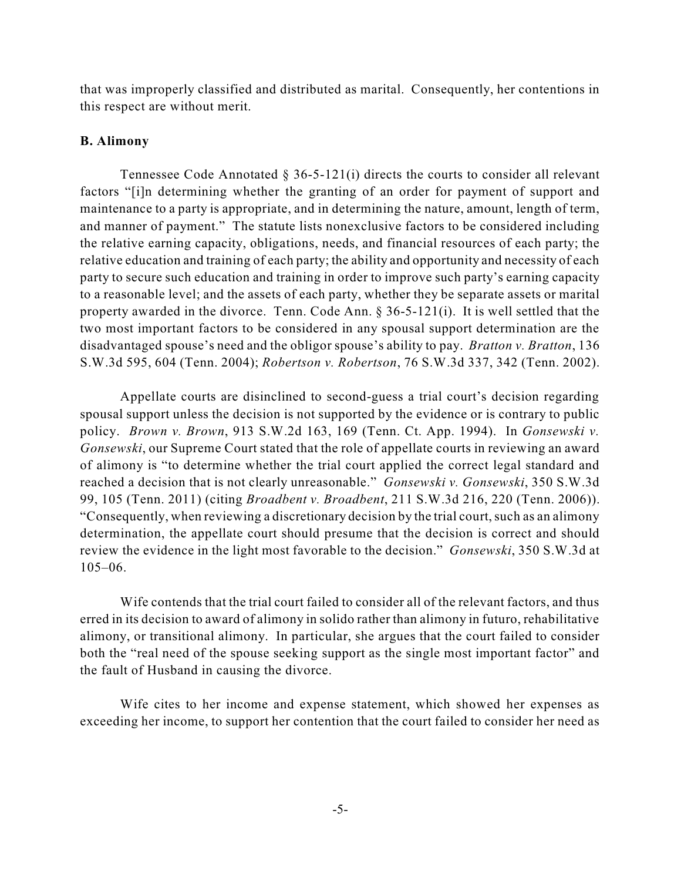that was improperly classified and distributed as marital. Consequently, her contentions in this respect are without merit.

## **B. Alimony**

Tennessee Code Annotated  $\S 36-5-121(i)$  directs the courts to consider all relevant factors "[i]n determining whether the granting of an order for payment of support and maintenance to a party is appropriate, and in determining the nature, amount, length of term, and manner of payment." The statute lists nonexclusive factors to be considered including the relative earning capacity, obligations, needs, and financial resources of each party; the relative education and training of each party; the ability and opportunity and necessity of each party to secure such education and training in order to improve such party's earning capacity to a reasonable level; and the assets of each party, whether they be separate assets or marital property awarded in the divorce. Tenn. Code Ann. § 36-5-121(i). It is well settled that the two most important factors to be considered in any spousal support determination are the disadvantaged spouse's need and the obligor spouse's ability to pay. *Bratton v. Bratton*, 136 S.W.3d 595, 604 (Tenn. 2004); *Robertson v. Robertson*, 76 S.W.3d 337, 342 (Tenn. 2002).

Appellate courts are disinclined to second-guess a trial court's decision regarding spousal support unless the decision is not supported by the evidence or is contrary to public policy. *Brown v. Brown*, 913 S.W.2d 163, 169 (Tenn. Ct. App. 1994). In *Gonsewski v. Gonsewski*, our Supreme Court stated that the role of appellate courts in reviewing an award of alimony is "to determine whether the trial court applied the correct legal standard and reached a decision that is not clearly unreasonable." *Gonsewski v. Gonsewski*, 350 S.W.3d 99, 105 (Tenn. 2011) (citing *Broadbent v. Broadbent*, 211 S.W.3d 216, 220 (Tenn. 2006)). "Consequently, when reviewing a discretionary decision by the trial court, such as an alimony determination, the appellate court should presume that the decision is correct and should review the evidence in the light most favorable to the decision." *Gonsewski*, 350 S.W.3d at 105–06.

Wife contends that the trial court failed to consider all of the relevant factors, and thus erred in its decision to award of alimony in solido rather than alimony in futuro, rehabilitative alimony, or transitional alimony. In particular, she argues that the court failed to consider both the "real need of the spouse seeking support as the single most important factor" and the fault of Husband in causing the divorce.

Wife cites to her income and expense statement, which showed her expenses as exceeding her income, to support her contention that the court failed to consider her need as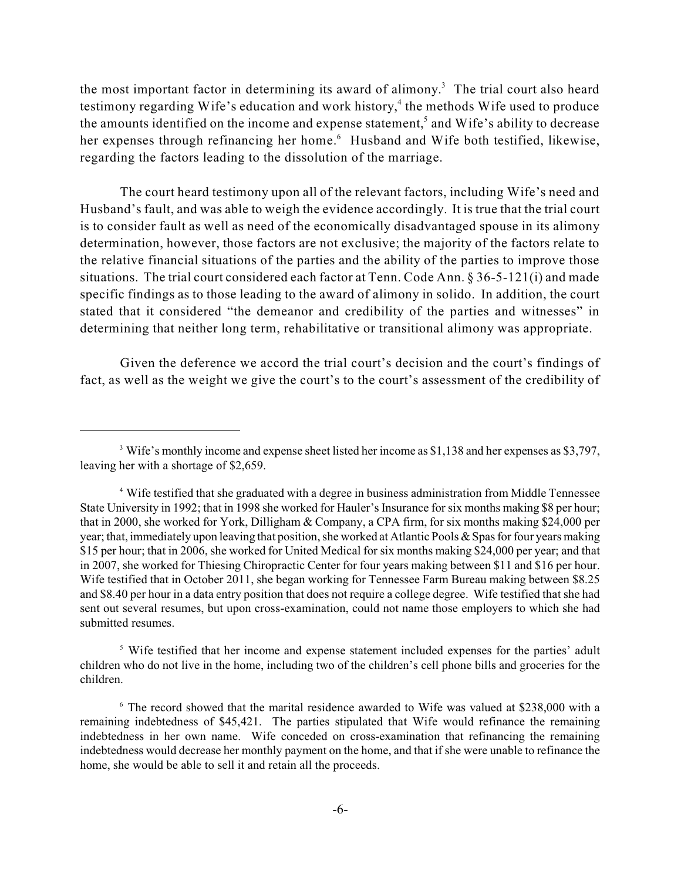the most important factor in determining its award of alimony.<sup>3</sup> The trial court also heard testimony regarding Wife's education and work history, $\frac{4}{3}$  the methods Wife used to produce the amounts identified on the income and expense statement,<sup>5</sup> and Wife's ability to decrease her expenses through refinancing her home.<sup>6</sup> Husband and Wife both testified, likewise, regarding the factors leading to the dissolution of the marriage.

The court heard testimony upon all of the relevant factors, including Wife's need and Husband's fault, and was able to weigh the evidence accordingly. It is true that the trial court is to consider fault as well as need of the economically disadvantaged spouse in its alimony determination, however, those factors are not exclusive; the majority of the factors relate to the relative financial situations of the parties and the ability of the parties to improve those situations. The trial court considered each factor at Tenn. Code Ann. § 36-5-121(i) and made specific findings as to those leading to the award of alimony in solido. In addition, the court stated that it considered "the demeanor and credibility of the parties and witnesses" in determining that neither long term, rehabilitative or transitional alimony was appropriate.

Given the deference we accord the trial court's decision and the court's findings of fact, as well as the weight we give the court's to the court's assessment of the credibility of

<sup>5</sup> Wife testified that her income and expense statement included expenses for the parties' adult children who do not live in the home, including two of the children's cell phone bills and groceries for the children.

<sup>&</sup>lt;sup>3</sup> Wife's monthly income and expense sheet listed her income as \$1,138 and her expenses as \$3,797, leaving her with a shortage of \$2,659.

<sup>&</sup>lt;sup>4</sup> Wife testified that she graduated with a degree in business administration from Middle Tennessee State University in 1992; that in 1998 she worked for Hauler's Insurance for six months making \$8 per hour; that in 2000, she worked for York, Dilligham & Company, a CPA firm, for six months making \$24,000 per year; that, immediately upon leaving that position, she worked at Atlantic Pools & Spasfor four years making \$15 per hour; that in 2006, she worked for United Medical for six months making \$24,000 per year; and that in 2007, she worked for Thiesing Chiropractic Center for four years making between \$11 and \$16 per hour. Wife testified that in October 2011, she began working for Tennessee Farm Bureau making between \$8.25 and \$8.40 per hour in a data entry position that does not require a college degree. Wife testified that she had sent out several resumes, but upon cross-examination, could not name those employers to which she had submitted resumes.

<sup>&</sup>lt;sup>6</sup> The record showed that the marital residence awarded to Wife was valued at \$238,000 with a remaining indebtedness of \$45,421. The parties stipulated that Wife would refinance the remaining indebtedness in her own name. Wife conceded on cross-examination that refinancing the remaining indebtedness would decrease her monthly payment on the home, and that if she were unable to refinance the home, she would be able to sell it and retain all the proceeds.